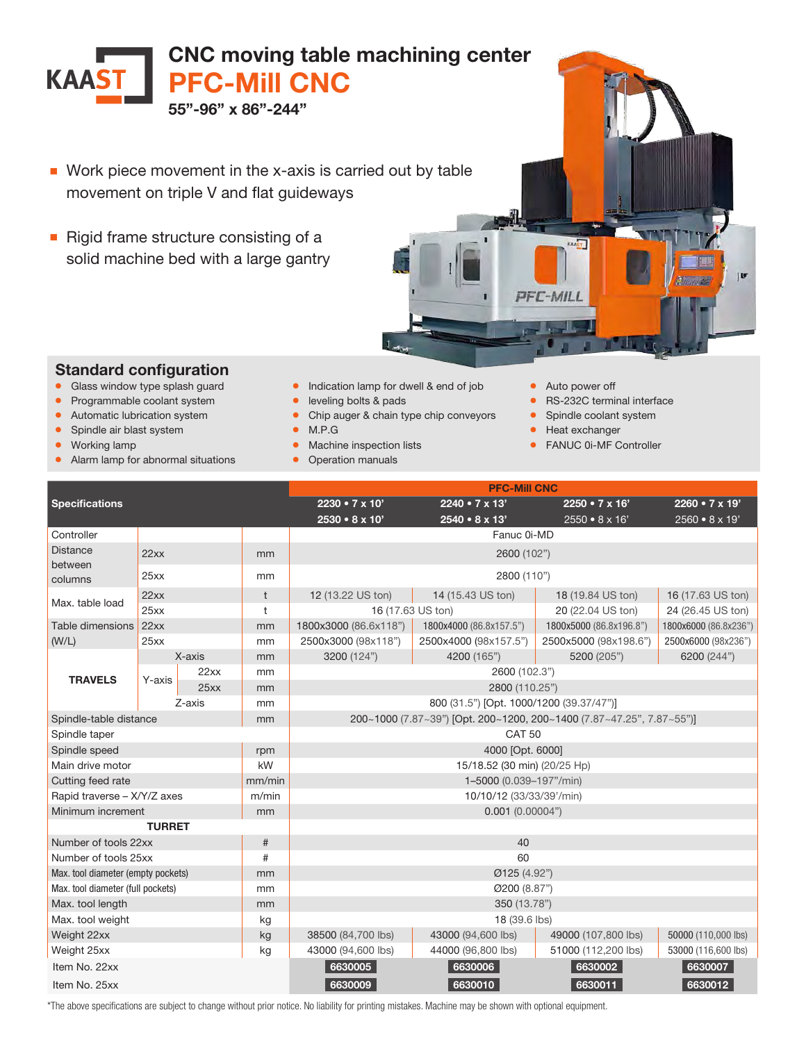

- Work piece movement in the x-axis is carried out by table movement on triple V and flat guideways
- Rigid frame structure consisting of a solid machine bed with a large gantry



## Standard configuration

- Glass window type splash guard
- Programmable coolant system
- Automatic lubrication system
- Spindle air blast system
- Working lamp
- Alarm lamp for abnormal situations
- Indication lamp for dwell & end of job
- leveling bolts & pads
- Chip auger & chain type chip conveyors
- M.P.G
- Machine inspection lists
- Operation manuals
- Auto power off
- RS-232C terminal interface
- Spindle coolant system
- Heat exchanger
- FANUC 0i-MF Controller

| <b>Specifications</b>              |        |      |        | <b>PFC-Mill CNC</b>                                                   |                           |                           |                           |  |
|------------------------------------|--------|------|--------|-----------------------------------------------------------------------|---------------------------|---------------------------|---------------------------|--|
|                                    |        |      |        | 2230 • 7 x 10'                                                        | $2240 \cdot 7 \times 13'$ | $2250 \cdot 7 \times 16'$ | $2260 \cdot 7 \times 19'$ |  |
|                                    |        |      |        | 2530 · 8 x 10'                                                        | 2540 • 8 x 13'            | $2550 \cdot 8 \times 16'$ | 2560 • 8 x 19'            |  |
| Controller                         |        |      |        | Fanuc 0i-MD                                                           |                           |                           |                           |  |
| <b>Distance</b>                    | 22xx   |      | mm     | 2600 (102")                                                           |                           |                           |                           |  |
| between<br>columns                 | 25xx   |      | mm     | 2800 (110")                                                           |                           |                           |                           |  |
| Max. table load                    | 22xx   |      | t      | 12 (13.22 US ton)                                                     | 14 (15.43 US ton)         | 18 (19.84 US ton)         | 16 (17.63 US ton)         |  |
|                                    | 25xx   |      | t      | 16 (17.63 US ton)<br>20 (22.04 US ton)<br>24 (26.45 US ton)           |                           |                           |                           |  |
| Table dimensions                   | 22xx   |      | mm     | 1800x3000 (86.6x118")                                                 | 1800x4000 (86.8x157.5")   | 1800x5000 (86.8x196.8")   | 1800x6000 (86.8x236")     |  |
| (W/L)                              | 25xx   |      | mm     | 2500x3000 (98x118")                                                   | 2500x4000 (98x157.5")     | 2500x5000 (98x198.6")     | 2500x6000 (98x236")       |  |
| <b>TRAVELS</b>                     | X-axis |      | mm     | 3200 (124")                                                           | 4200 (165")               | 5200 (205")               | 6200 (244")               |  |
|                                    | Y-axis | 22xx | mm     | 2600 (102.3")                                                         |                           |                           |                           |  |
|                                    |        | 25xx | mm     | 2800 (110.25")                                                        |                           |                           |                           |  |
|                                    | Z-axis |      | mm     | 800 (31.5") [Opt. 1000/1200 (39.37/47")]                              |                           |                           |                           |  |
| Spindle-table distance<br>mm       |        |      |        | 200~1000 (7.87~39") [Opt. 200~1200, 200~1400 (7.87~47.25", 7.87~55")] |                           |                           |                           |  |
| Spindle taper                      |        |      |        | <b>CAT 50</b>                                                         |                           |                           |                           |  |
| Spindle speed                      |        |      | rpm    | 4000 [Opt. 6000]                                                      |                           |                           |                           |  |
| Main drive motor                   |        |      | kW     | 15/18.52 (30 min) (20/25 Hp)                                          |                           |                           |                           |  |
| Cutting feed rate                  |        |      | mm/min | 1-5000 (0.039-197"/min)                                               |                           |                           |                           |  |
| Rapid traverse - X/Y/Z axes        |        |      | m/min  | 10/10/12 (33/33/39'/min)                                              |                           |                           |                           |  |
| Minimum increment                  |        |      | mm     | 0.001(0.00004")                                                       |                           |                           |                           |  |
| <b>TURRET</b>                      |        |      |        |                                                                       |                           |                           |                           |  |
| Number of tools 22xx               |        |      | $\#$   | 40                                                                    |                           |                           |                           |  |
| Number of tools 25xx               |        |      | #      | 60                                                                    |                           |                           |                           |  |
| Max. tool diameter (empty pockets) |        |      | mm     | Ø125 (4.92")                                                          |                           |                           |                           |  |
| Max. tool diameter (full pockets)  |        |      | mm     | Ø200 (8.87")                                                          |                           |                           |                           |  |
| Max. tool length                   |        |      | mm     | 350 (13.78")                                                          |                           |                           |                           |  |
| Max. tool weight                   |        |      | kg     | 18 (39.6 lbs)                                                         |                           |                           |                           |  |
| Weight 22xx                        |        |      | kg     | 38500 (84,700 lbs)                                                    | 43000 (94,600 lbs)        | 49000 (107,800 lbs)       | 50000 (110,000 lbs)       |  |
| Weight 25xx                        |        |      | kg     | 43000 (94,600 lbs)                                                    | 44000 (96,800 lbs)        | 51000 (112,200 lbs)       | 53000 (116,600 lbs)       |  |
| Item No. 22xx                      |        |      |        | 6630005                                                               | 6630006                   | 6630002                   | 6630007                   |  |
| Item No. 25xx                      |        |      |        | 6630009                                                               | 6630010                   | 6630011                   | 6630012                   |  |

\*The above specifications are subject to change without prior notice. No liability for printing mistakes. Machine may be shown with optional equipment.